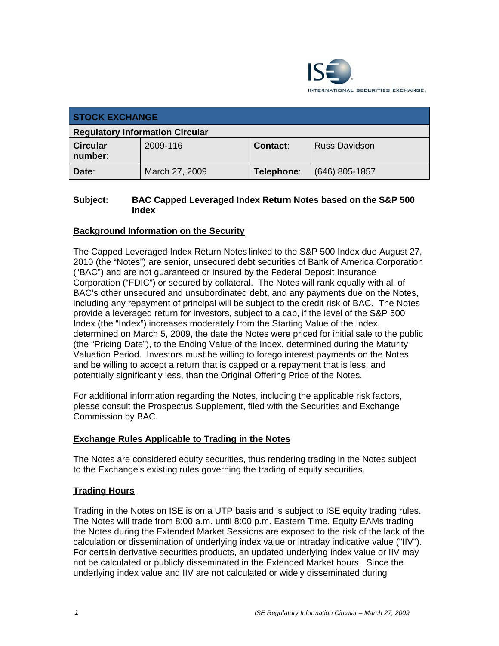

| <b>STOCK EXCHANGE</b>                  |                |            |                      |
|----------------------------------------|----------------|------------|----------------------|
| <b>Regulatory Information Circular</b> |                |            |                      |
| <b>Circular</b><br>number:             | 2009-116       | Contact:   | <b>Russ Davidson</b> |
| Date:                                  | March 27, 2009 | Telephone: | $(646)$ 805-1857     |

### **Subject: BAC Capped Leveraged Index Return Notes based on the S&P 500 Index**

## **Background Information on the Security**

The Capped Leveraged Index Return Notes linked to the S&P 500 Index due August 27, 2010 (the "Notes") are senior, unsecured debt securities of Bank of America Corporation ("BAC") and are not guaranteed or insured by the Federal Deposit Insurance Corporation ("FDIC") or secured by collateral. The Notes will rank equally with all of BAC's other unsecured and unsubordinated debt, and any payments due on the Notes, including any repayment of principal will be subject to the credit risk of BAC. The Notes provide a leveraged return for investors, subject to a cap, if the level of the S&P 500 Index (the "Index") increases moderately from the Starting Value of the Index, determined on March 5, 2009, the date the Notes were priced for initial sale to the public (the "Pricing Date"), to the Ending Value of the Index, determined during the Maturity Valuation Period. Investors must be willing to forego interest payments on the Notes and be willing to accept a return that is capped or a repayment that is less, and potentially significantly less, than the Original Offering Price of the Notes.

For additional information regarding the Notes, including the applicable risk factors, please consult the Prospectus Supplement, filed with the Securities and Exchange Commission by BAC.

#### **Exchange Rules Applicable to Trading in the Notes**

The Notes are considered equity securities, thus rendering trading in the Notes subject to the Exchange's existing rules governing the trading of equity securities.

#### **Trading Hours**

Trading in the Notes on ISE is on a UTP basis and is subject to ISE equity trading rules. The Notes will trade from 8:00 a.m. until 8:00 p.m. Eastern Time. Equity EAMs trading the Notes during the Extended Market Sessions are exposed to the risk of the lack of the calculation or dissemination of underlying index value or intraday indicative value ("IIV"). For certain derivative securities products, an updated underlying index value or IIV may not be calculated or publicly disseminated in the Extended Market hours. Since the underlying index value and IIV are not calculated or widely disseminated during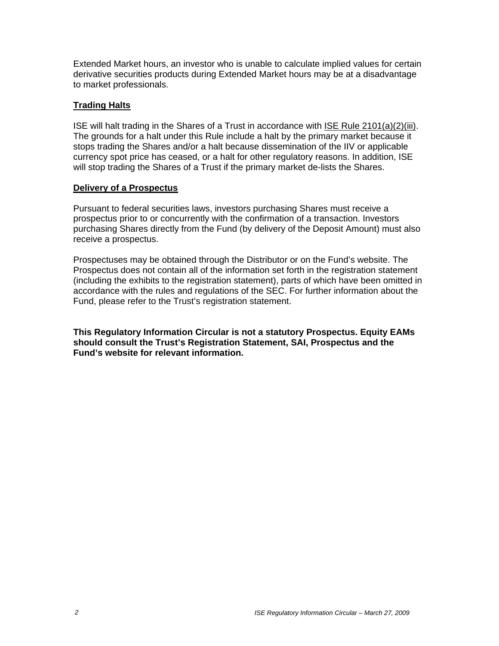Extended Market hours, an investor who is unable to calculate implied values for certain derivative securities products during Extended Market hours may be at a disadvantage to market professionals.

#### **Trading Halts**

ISE will halt trading in the Shares of a Trust in accordance with ISE Rule 2101(a)(2)(iii). The grounds for a halt under this Rule include a halt by the primary market because it stops trading the Shares and/or a halt because dissemination of the IIV or applicable currency spot price has ceased, or a halt for other regulatory reasons. In addition, ISE will stop trading the Shares of a Trust if the primary market de-lists the Shares.

#### **Delivery of a Prospectus**

Pursuant to federal securities laws, investors purchasing Shares must receive a prospectus prior to or concurrently with the confirmation of a transaction. Investors purchasing Shares directly from the Fund (by delivery of the Deposit Amount) must also receive a prospectus.

Prospectuses may be obtained through the Distributor or on the Fund's website. The Prospectus does not contain all of the information set forth in the registration statement (including the exhibits to the registration statement), parts of which have been omitted in accordance with the rules and regulations of the SEC. For further information about the Fund, please refer to the Trust's registration statement.

**This Regulatory Information Circular is not a statutory Prospectus. Equity EAMs should consult the Trust's Registration Statement, SAI, Prospectus and the Fund's website for relevant information.**